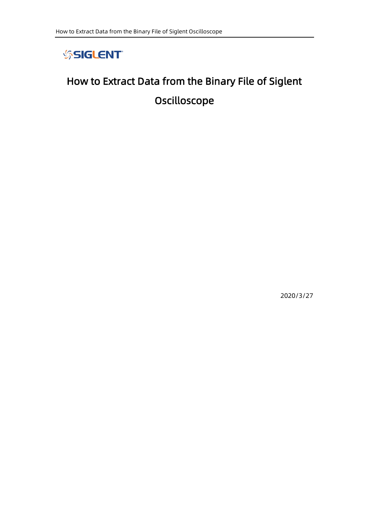## **SSIGLENT**

## <span id="page-0-0"></span>How to Extract Data from the Binary File of Siglent Oscilloscope

2020/3/27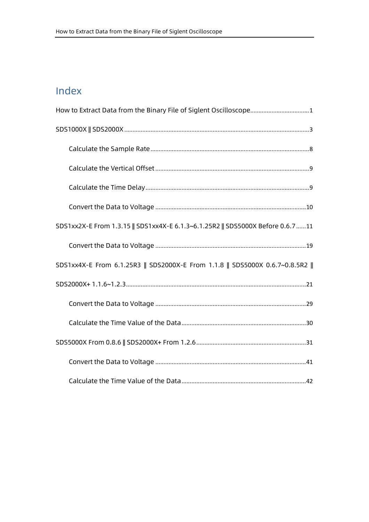## Index

| How to Extract Data from the Binary File of Siglent Oscilloscope 1              |
|---------------------------------------------------------------------------------|
|                                                                                 |
|                                                                                 |
|                                                                                 |
|                                                                                 |
|                                                                                 |
| SDS1xx2X-E From 1.3.15    SDS1xx4X-E 6.1.3~6.1.25R2    SDS5000X Before 0.6.7 11 |
|                                                                                 |
| SDS1xx4X-E From 6.1.25R3    SDS2000X-E From 1.1.8    SDS5000X 0.6.7~0.8.5R2     |
|                                                                                 |
|                                                                                 |
|                                                                                 |
|                                                                                 |
|                                                                                 |
|                                                                                 |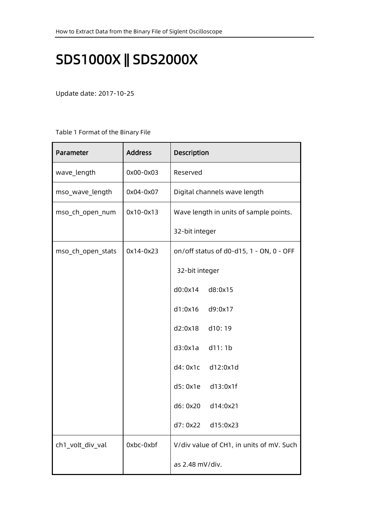## <span id="page-2-0"></span>SDS1000X || SDS2000X

Update date: 2017-10-25

#### Table 1 Format of the Binary File

| Parameter         | <b>Address</b> | Description                              |
|-------------------|----------------|------------------------------------------|
| wave_length       | 0x00-0x03      | Reserved                                 |
| mso_wave_length   | 0x04-0x07      | Digital channels wave length             |
| mso_ch_open_num   | $0x10-0x13$    | Wave length in units of sample points.   |
|                   |                | 32-bit integer                           |
| mso_ch_open_stats | $0x14-0x23$    | on/off status of d0-d15, 1 - ON, 0 - OFF |
|                   |                | 32-bit integer                           |
|                   |                | d0:0x14<br>d8:0x15                       |
|                   |                | d1:0x16 d9:0x17                          |
|                   |                | d2:0x18<br>d10:19                        |
|                   |                | d11:1b<br>d3:0x1a                        |
|                   |                | d4:0x1c<br>d12:0x1d                      |
|                   |                | d5:0x1e<br>d13:0x1f                      |
|                   |                | d6:0x20 d14:0x21                         |
|                   |                | d7:0x22<br>d15:0x23                      |
| ch1_volt_div_val  | 0xbc-0xbf      | V/div value of CH1, in units of mV. Such |
|                   |                | as 2.48 mV/div.                          |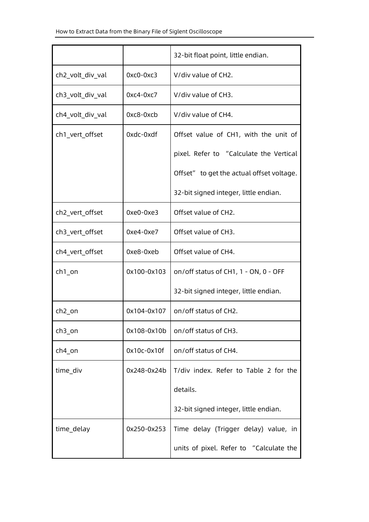|                    |             | 32-bit float point, little endian.        |
|--------------------|-------------|-------------------------------------------|
| ch2_volt_div_val   | $0xc0-0xc3$ | V/div value of CH2.                       |
| ch3_volt_div_val   | $0xc4-0xc7$ | V/div value of CH3.                       |
| ch4_volt_div_val   | 0xc8-0xcb   | V/div value of CH4.                       |
| ch1_vert_offset    | 0xdc-0xdf   | Offset value of CH1, with the unit of     |
|                    |             | pixel. Refer to "Calculate the Vertical   |
|                    |             | Offset" to get the actual offset voltage. |
|                    |             | 32-bit signed integer, little endian.     |
| ch2 vert offset    | $0xe0-0xe3$ | Offset value of CH2.                      |
| ch3_vert_offset    | $0xe4-0xe7$ | Offset value of CH3.                      |
| ch4_vert_offset    | 0xe8-0xeb   | Offset value of CH4.                      |
| $ch1$ _on          | 0x100-0x103 | on/off status of CH1, 1 - ON, 0 - OFF     |
|                    |             | 32-bit signed integer, little endian.     |
| ch <sub>2_on</sub> | 0x104-0x107 | on/off status of CH2.                     |
| ch <sub>3_on</sub> | 0x108-0x10b | on/off status of CH3.                     |
| ch4_on             | 0x10c-0x10f | on/off status of CH4.                     |
| time_div           | 0x248-0x24b | T/div index. Refer to Table 2 for the     |
|                    |             | details.                                  |
|                    |             | 32-bit signed integer, little endian.     |
| time_delay         | 0x250-0x253 | Time delay (Trigger delay) value, in      |
|                    |             | units of pixel. Refer to "Calculate the   |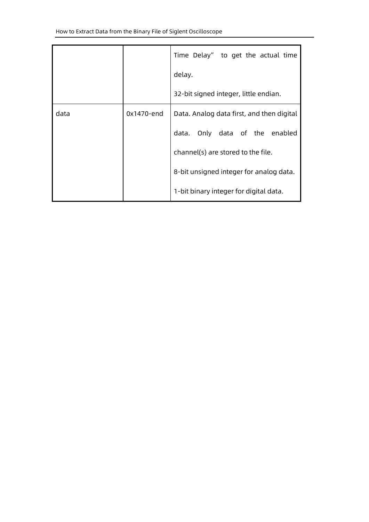|      |            | Time Delay" to get the actual time        |
|------|------------|-------------------------------------------|
|      |            | delay.                                    |
|      |            | 32-bit signed integer, little endian.     |
| data | 0x1470-end | Data. Analog data first, and then digital |
|      |            | Only data of the enabled<br>data.         |
|      |            | channel(s) are stored to the file.        |
|      |            | 8-bit unsigned integer for analog data.   |
|      |            | 1-bit binary integer for digital data.    |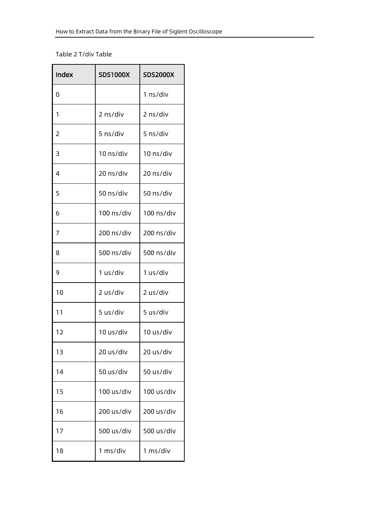Table 2 T/div Table

| Index | <b>SDS1000X</b> | <b>SDS2000X</b> |
|-------|-----------------|-----------------|
| 0     |                 | 1 ns/div        |
| 1     | 2 ns/div        | 2 ns/div        |
| 2     | 5 ns/div        | 5 ns/div        |
| 3     | 10 ns/div       | 10 ns/div       |
| 4     | 20 ns/div       | 20 ns/div       |
| 5     | 50 ns/div       | 50 ns/div       |
| 6     | 100 ns/div      | 100 ns/div      |
| 7     | 200 ns/div      | 200 ns/div      |
| 8     | 500 ns/div      | 500 ns/div      |
| 9     | 1 us/div        | 1 us/div        |
| 10    | 2 us/div        | 2 us/div        |
| 11    | 5 us/div        | 5 us/div        |
| 12    | 10 us/div       | 10 us/div       |
| 13    | 20 us/div       | 20 us/div       |
| 14    | 50 us/div       | 50 us/div       |
| 15    | 100 us/div      | 100 us/div      |
| 16    | 200 us/div      | 200 us/div      |
| 17    | 500 us/div      | 500 us/div      |
| 18    | 1 ms/div        | 1 ms/div        |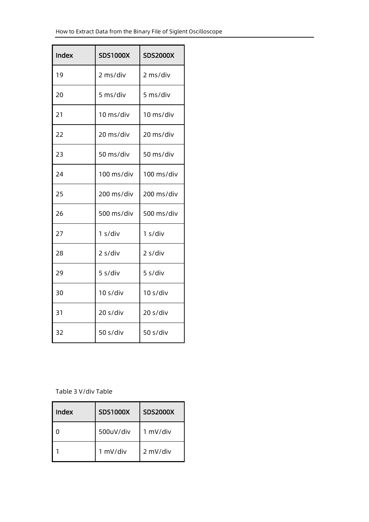| Index | <b>SDS1000X</b> | <b>SDS2000X</b> |
|-------|-----------------|-----------------|
| 19    | 2 ms/div        | 2 ms/div        |
| 20    | 5 ms/div        | 5 ms/div        |
| 21    | 10 ms/div       | 10 ms/div       |
| 22    | 20 ms/div       | 20 ms/div       |
| 23    | 50 ms/div       | 50 ms/div       |
| 24    | 100 ms/div      | 100 ms/div      |
| 25    | 200 ms/div      | 200 ms/div      |
| 26    | 500 ms/div      | 500 ms/div      |
| 27    | 1 s/div         | 1 s/div         |
| 28    | 2 s/div         | 2 s/div         |
| 29    | 5 s/div         | 5 s/div         |
| 30    | 10 s/div        | 10 s/div        |
| 31    | 20 s/div        | 20 s/div        |
| 32    | 50 s/div        | 50 s/div        |

Table 3 V/div Table

| Index | <b>SDS1000X</b> | <b>SDS2000X</b> |
|-------|-----------------|-----------------|
|       | 500uV/div       | 1 mV/div        |
|       | 1 mV/div        | 2 mV/div        |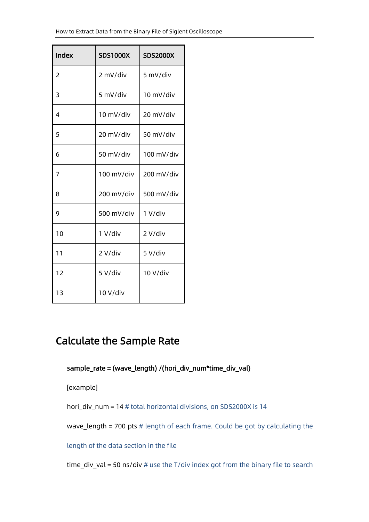| Index | <b>SDS1000X</b> | <b>SDS2000X</b> |
|-------|-----------------|-----------------|
| 2     | 2 mV/div        | 5 mV/div        |
| 3     | 5 mV/div        | 10 mV/div       |
| 4     | 10 mV/div       | 20 mV/div       |
| 5     | 20 mV/div       | 50 mV/div       |
| 6     | 50 mV/div       | 100 mV/div      |
| 7     | 100 mV/div      | 200 mV/div      |
| 8     | 200 mV/div      | 500 mV/div      |
| 9     | 500 mV/div      | 1 V/div         |
| 10    | 1 V/div         | 2 V/div         |
| 11    | 2 V/div         | 5 V/div         |
| 12    | 5 V/div         | 10 V/div        |
| 13    | 10 V/div        |                 |

## <span id="page-7-0"></span>Calculate the Sample Rate

#### sample\_rate = (wave\_length) /(hori\_div\_num\*time\_div\_val)

[example]

hori\_div\_num = 14 # total horizontal divisions, on SDS2000X is 14

wave\_length = 700 pts # length of each frame. Could be got by calculating the

length of the data section in the file

time\_div\_val = 50 ns/div # use the T/div index got from the binary file to search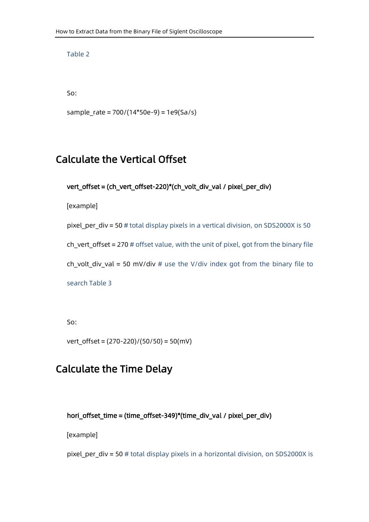```
Table 2
So:
sample rate = 700/(14*50e-9) = 1e9(Sa/s)
```
## <span id="page-8-0"></span>Calculate the Vertical Offset

```
vert_offset = (ch_vert_offset-220)*(ch_volt_div_val / pixel_per_div)
```
[example]

pixel\_per\_div = 50 # total display pixels in a vertical division, on SDS2000X is 50 ch\_vert\_offset = 270 # offset value, with the unit of pixel, got from the binary file ch\_volt\_div\_val = 50 mV/div # use the V/div index got from the binary file to search Table 3

So:

vert\_offset = (270-220)/(50/50) = 50(mV)

## <span id="page-8-1"></span>Calculate the Time Delay

#### hori\_offset\_time = (time\_offset-349)\*(time\_div\_val / pixel\_per\_div)

[example]

pixel per div = 50 # total display pixels in a horizontal division, on SDS2000X is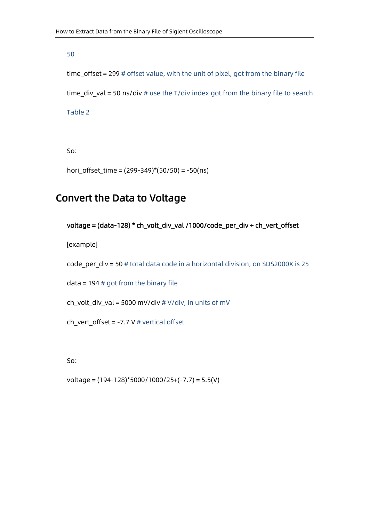50

time\_offset = 299 # offset value, with the unit of pixel, got from the binary file time div val = 50 ns/div # use the T/div index got from the binary file to search Table 2

So:

hori\_offset\_time = (299-349)\*(50/50) = -50(ns)

### <span id="page-9-0"></span>Convert the Data to Voltage

#### voltage = (data-128) \* ch\_volt\_div\_val /1000/code\_per\_div + ch\_vert\_offset

[example]

code\_per\_div = 50 # total data code in a horizontal division, on SDS2000X is 25

 $data = 194$  # got from the binary file

ch\_volt\_div\_val = 5000 mV/div #  $V$ /div, in units of mV

ch vert offset = -7.7 V # vertical offset

So:

voltage = (194-128)\*5000/1000/25+(-7.7) = 5.5(V)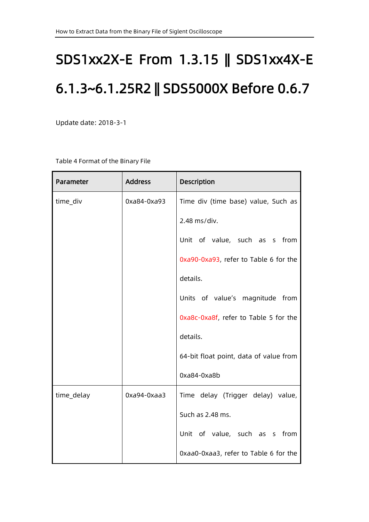# <span id="page-10-0"></span>SDS1xx2X-E From 1.3.15 || SDS1xx4X-E 6.1.3~6.1.25R2 || SDS5000X Before 0.6.7

Update date: 2018-3-1

Table 4 Format of the Binary File

| Parameter  | <b>Address</b> | Description                            |
|------------|----------------|----------------------------------------|
| time_div   | 0xa84-0xa93    | Time div (time base) value, Such as    |
|            |                | 2.48 ms/div.                           |
|            |                | Unit of value, such as s from          |
|            |                | 0xa90-0xa93, refer to Table 6 for the  |
|            |                | details.                               |
|            |                | Units of value's magnitude from        |
|            |                | 0xa8c-0xa8f, refer to Table 5 for the  |
|            |                | details.                               |
|            |                | 64-bit float point, data of value from |
|            |                | $0xa84-0xa8b$                          |
| time_delay | $0xa94-0xaa3$  | Time delay (Trigger delay) value,      |
|            |                | Such as 2.48 ms.                       |
|            |                | Unit of value, such as s from          |
|            |                | 0xaa0-0xaa3, refer to Table 6 for the  |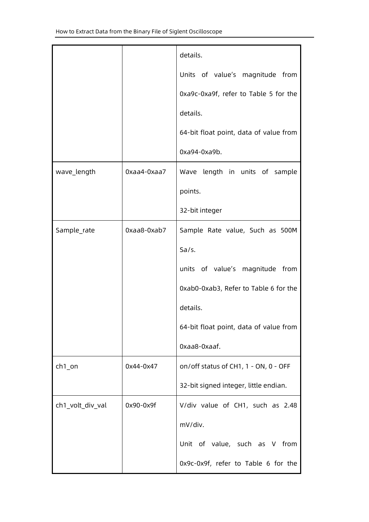|                  |             | details.                               |
|------------------|-------------|----------------------------------------|
|                  |             |                                        |
|                  |             | Units of value's magnitude from        |
|                  |             | 0xa9c-0xa9f, refer to Table 5 for the  |
|                  |             | details.                               |
|                  |             | 64-bit float point, data of value from |
|                  |             | 0xa94-0xa9b.                           |
| wave_length      | 0xaa4-0xaa7 | Wave length in units of sample         |
|                  |             | points.                                |
|                  |             | 32-bit integer                         |
| Sample_rate      | 0xaa8-0xab7 | Sample Rate value, Such as 500M        |
|                  |             | Sa/s.                                  |
|                  |             | units of value's magnitude from        |
|                  |             | 0xab0-0xab3, Refer to Table 6 for the  |
|                  |             | details.                               |
|                  |             | 64-bit float point, data of value from |
|                  |             | 0xaa8-0xaaf.                           |
| $ch1$ _on        | 0x44-0x47   | on/off status of CH1, 1 - ON, 0 - OFF  |
|                  |             | 32-bit signed integer, little endian.  |
| ch1_volt_div_val | 0x90-0x9f   | V/div value of CH1, such as 2.48       |
|                  |             | mV/div.                                |
|                  |             | Unit of value, such as V from          |
|                  |             | 0x9c-0x9f, refer to Table 6 for the    |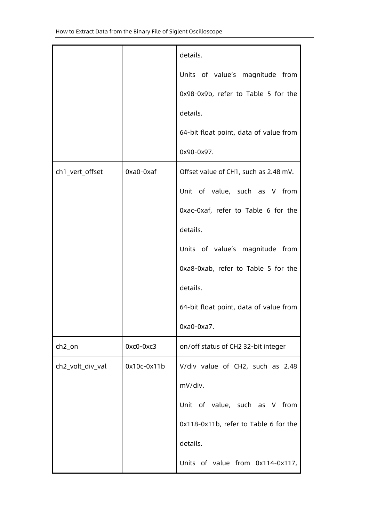|                    |             | details.                               |
|--------------------|-------------|----------------------------------------|
|                    |             | Units of value's magnitude from        |
|                    |             | 0x98-0x9b, refer to Table 5 for the    |
|                    |             | details.                               |
|                    |             | 64-bit float point, data of value from |
|                    |             | 0x90-0x97.                             |
| ch1_vert_offset    | $0xa0-0xaf$ | Offset value of CH1, such as 2.48 mV.  |
|                    |             | Unit of value, such as V from          |
|                    |             | 0xac-0xaf, refer to Table 6 for the    |
|                    |             | details.                               |
|                    |             | Units of value's magnitude from        |
|                    |             | 0xa8-0xab, refer to Table 5 for the    |
|                    |             | details.                               |
|                    |             | 64-bit float point, data of value from |
|                    |             | $0xa0-0xa7$ .                          |
| ch <sub>2_on</sub> | $0xc0-0xc3$ | on/off status of CH2 32-bit integer    |
| ch2_volt_div_val   | 0x10c-0x11b | V/div value of CH2, such as 2.48       |
|                    |             | mV/div.                                |
|                    |             | Unit of value, such as V from          |
|                    |             | 0x118-0x11b, refer to Table 6 for the  |
|                    |             | details.                               |
|                    |             | Units of value from 0x114-0x117,       |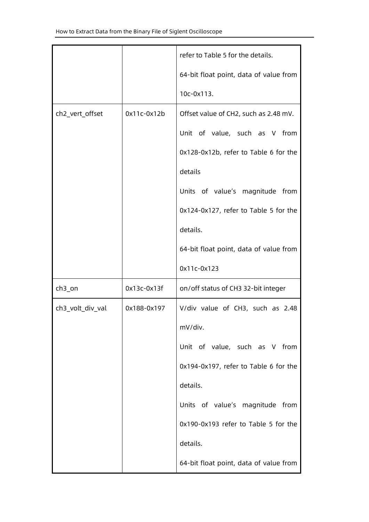|                  |               | refer to Table 5 for the details.      |
|------------------|---------------|----------------------------------------|
|                  |               | 64-bit float point, data of value from |
|                  |               | 10c-0x113.                             |
| ch2_vert_offset  | $0x11c-0x12b$ | Offset value of CH2, such as 2.48 mV.  |
|                  |               | Unit of value, such as V from          |
|                  |               | 0x128-0x12b, refer to Table 6 for the  |
|                  |               | details                                |
|                  |               | Units of value's magnitude from        |
|                  |               | 0x124-0x127, refer to Table 5 for the  |
|                  |               | details.                               |
|                  |               | 64-bit float point, data of value from |
|                  |               | 0x11c-0x123                            |
| $ch3_$ on        | 0x13c-0x13f   | on/off status of CH3 32-bit integer    |
| ch3_volt_div_val | 0x188-0x197   | V/div value of CH3, such as 2.48       |
|                  |               | mV/div.                                |
|                  |               | Unit of value, such as V from          |
|                  |               | 0x194-0x197, refer to Table 6 for the  |
|                  |               | details.                               |
|                  |               | Units of value's magnitude from        |
|                  |               |                                        |
|                  |               | 0x190-0x193 refer to Table 5 for the   |
|                  |               | details.                               |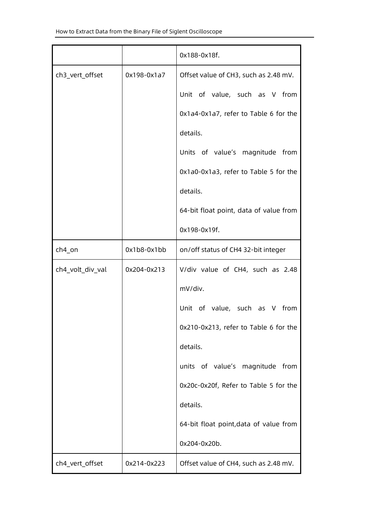|                  |             | 0x188-0x18f.                           |
|------------------|-------------|----------------------------------------|
| ch3_vert_offset  | 0x198-0x1a7 | Offset value of CH3, such as 2.48 mV.  |
|                  |             | Unit of value, such as V from          |
|                  |             | 0x1a4-0x1a7, refer to Table 6 for the  |
|                  |             | details.                               |
|                  |             | Units of value's magnitude from        |
|                  |             | 0x1a0-0x1a3, refer to Table 5 for the  |
|                  |             | details.                               |
|                  |             | 64-bit float point, data of value from |
|                  |             | 0x198-0x19f.                           |
| ch4_on           | 0x1b8-0x1bb | on/off status of CH4 32-bit integer    |
| ch4_volt_div_val | 0x204-0x213 | V/div value of CH4, such as 2.48       |
|                  |             | mV/div.                                |
|                  |             | Unit of value, such as V from          |
|                  |             | 0x210-0x213, refer to Table 6 for the  |
|                  |             | details.                               |
|                  |             | units of value's magnitude from        |
|                  |             | 0x20c-0x20f, Refer to Table 5 for the  |
|                  |             | details.                               |
|                  |             | 64-bit float point, data of value from |
|                  |             | 0x204-0x20b.                           |
| ch4_vert_offset  | 0x214-0x223 | Offset value of CH4, such as 2.48 mV.  |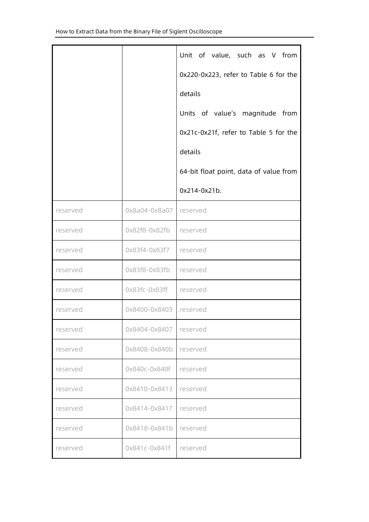|          |                 | Unit of value, such as V from          |
|----------|-----------------|----------------------------------------|
|          |                 | 0x220-0x223, refer to Table 6 for the  |
|          |                 | details                                |
|          |                 | Units of value's magnitude from        |
|          |                 | 0x21c-0x21f, refer to Table 5 for the  |
|          |                 | details                                |
|          |                 | 64-bit float point, data of value from |
|          |                 | 0x214-0x21b.                           |
| reserved | $0x8a04-0x8a07$ | reserved                               |
| reserved | 0x82f8-0x82fb   | reserved                               |
| reserved | 0x83f4-0x83f7   | reserved                               |
| reserved | 0x83f8-0x83fb   | reserved                               |
| reserved | 0x83fc-0x83ff   | reserved                               |
| reserved | 0x8400-0x8403   | reserved                               |
| reserved | 0x8404-0x8407   | reserved                               |
| reserved | 0x8408-0x840b   | reserved                               |
| reserved | 0x840c-0x840f   | reserved                               |
| reserved | 0x8410-0x8413   | reserved                               |
| reserved | 0x8414-0x8417   | reserved                               |
| reserved | 0x8418-0x841b   | reserved                               |
| reserved | 0x841c-0x841f   | reserved                               |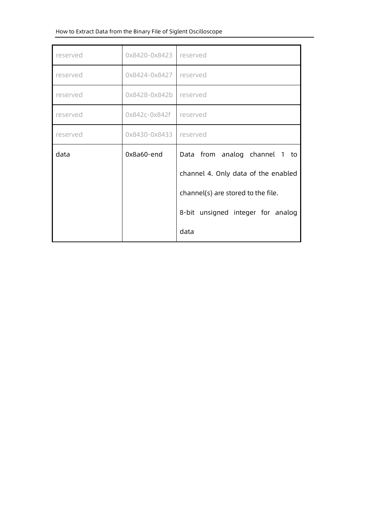#### How to Extract Data from the Binary File of Siglent Oscilloscope

| reserved | 0x8420-0x8423 | reserved                            |
|----------|---------------|-------------------------------------|
| reserved | 0x8424-0x8427 | reserved                            |
| reserved | 0x8428-0x842b | reserved                            |
| reserved | 0x842c-0x842f | reserved                            |
| reserved | 0x8430-0x8433 | reserved                            |
|          |               |                                     |
| data     | $0x8a60$ -end | Data from analog channel 1 to       |
|          |               | channel 4. Only data of the enabled |
|          |               | channel(s) are stored to the file.  |
|          |               | 8-bit unsigned integer for analog   |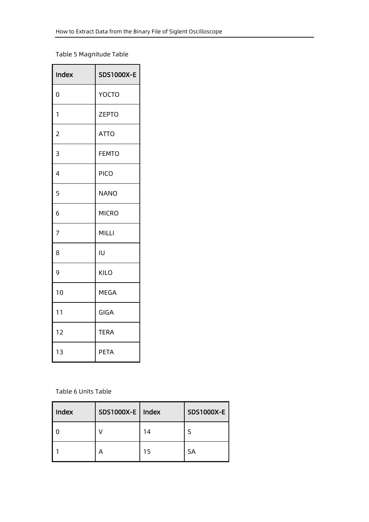#### <span id="page-17-1"></span>Table 5 Magnitude Table

| Index          | SDS1000X-E   |
|----------------|--------------|
| 0              | <b>YOCTO</b> |
| 1              | <b>ZEPTO</b> |
| $\overline{2}$ | <b>ATTO</b>  |
| 3              | <b>FEMTO</b> |
| 4              | <b>PICO</b>  |
| 5              | <b>NANO</b>  |
| 6              | <b>MICRO</b> |
| 7              | MILLI        |
| 8              | IU           |
| 9              | KILO         |
| 10             | <b>MEGA</b>  |
| 11             | GIGA         |
| 12             | <b>TERA</b>  |
| 13             | <b>PETA</b>  |

#### <span id="page-17-0"></span>Table 6 Units Table

| Index | SDS1000X-E   Index |    | <b>SDS1000X-E</b> |
|-------|--------------------|----|-------------------|
|       |                    | 14 |                   |
|       | А                  | 15 | <b>SA</b>         |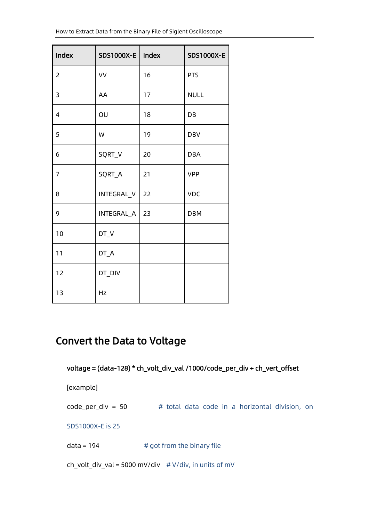| Index          | SDS1000X-E | Index | <b>SDS1000X-E</b> |
|----------------|------------|-------|-------------------|
| $\overline{2}$ | VV         | 16    | <b>PTS</b>        |
| 3              | AA         | 17    | <b>NULL</b>       |
| $\overline{4}$ | OU         | 18    | DB                |
| 5              | W          | 19    | <b>DBV</b>        |
| 6              | SQRT_V     | 20    | <b>DBA</b>        |
| $\overline{7}$ | SQRT_A     | 21    | <b>VPP</b>        |
| 8              | INTEGRAL_V | 22    | VDC               |
| 9              | INTEGRAL_A | 23    | <b>DBM</b>        |
| 10             | $DT_V$     |       |                   |
| 11             | DT_A       |       |                   |
| 12             | DT_DIV     |       |                   |
| 13             | Hz         |       |                   |

## <span id="page-18-0"></span>Convert the Data to Voltage

voltage = (data-128) \* ch\_volt\_div\_val /1000/code\_per\_div + ch\_vert\_offset

[example]

 $code\_per\_div = 50$  # total data code in a horizontal division, on

SDS1000X-E is 25

 $data = 194$   $\#$  got from the binary file

ch\_volt\_div\_val = 5000 mV/div  $#$  V/div, in units of mV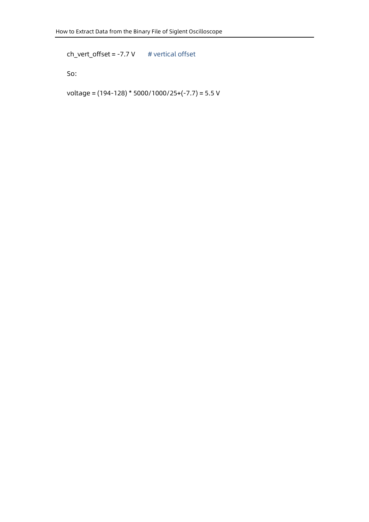$ch\_vert\_offset$  = -7.7 V # vertical offset

So:

voltage = (194-128) \* 5000/1000/25+(-7.7) = 5.5 V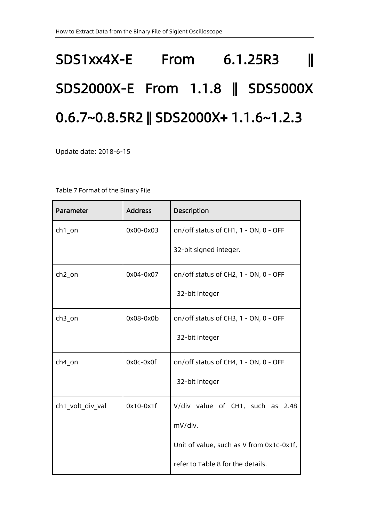# <span id="page-20-0"></span>SDS1xx4X-E From 6.1.25R3 || SDS2000X-E From 1.1.8 || SDS5000X 0.6.7~0.8.5R2 || SDS2000X+ 1.1.6~1.2.3

Update date: 2018-6-15

Table 7 Format of the Binary File

| Parameter          | <b>Address</b> | <b>Description</b>                       |
|--------------------|----------------|------------------------------------------|
| $ch1$ _on          | 0x00-0x03      | on/off status of CH1, 1 - ON, 0 - OFF    |
|                    |                | 32-bit signed integer.                   |
| ch <sub>2_on</sub> | 0x04-0x07      | on/off status of CH2, 1 - ON, 0 - OFF    |
|                    |                | 32-bit integer                           |
| $ch3_$ on          | 0x08-0x0b      | on/off status of CH3, 1 - ON, 0 - OFF    |
|                    |                | 32-bit integer                           |
| ch4_on             | 0x0c-0x0f      | on/off status of CH4, 1 - ON, 0 - OFF    |
|                    |                | 32-bit integer                           |
| ch1_volt_div_val   | $0x10-0x1f$    | V/div value of CH1, such as 2.48         |
|                    |                | mV/div.                                  |
|                    |                | Unit of value, such as V from 0x1c-0x1f, |
|                    |                | refer to Table 8 for the details.        |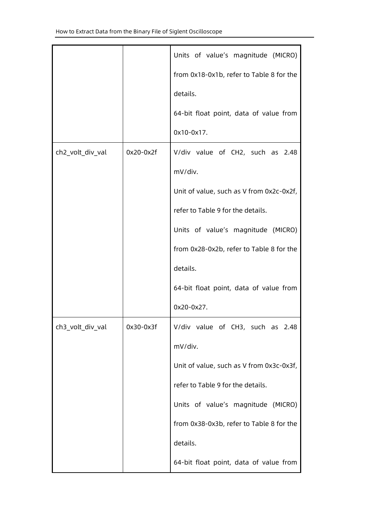|                  |             | Units of value's magnitude (MICRO)       |
|------------------|-------------|------------------------------------------|
|                  |             | from 0x18-0x1b, refer to Table 8 for the |
|                  |             | details.                                 |
|                  |             | 64-bit float point, data of value from   |
|                  |             | 0x10-0x17.                               |
| ch2_volt_div_val | $0x20-0x2f$ | V/div value of CH2, such as 2.48         |
|                  |             | mV/div.                                  |
|                  |             | Unit of value, such as V from 0x2c-0x2f, |
|                  |             | refer to Table 9 for the details.        |
|                  |             | Units of value's magnitude (MICRO)       |
|                  |             | from 0x28-0x2b, refer to Table 8 for the |
|                  |             | details.                                 |
|                  |             | 64-bit float point, data of value from   |
|                  |             | 0x20-0x27.                               |
| ch3_volt_div_val | 0x30-0x3f   | V/div value of CH3, such as 2.48         |
|                  |             | mV/div.                                  |
|                  |             | Unit of value, such as V from 0x3c-0x3f, |
|                  |             | refer to Table 9 for the details.        |
|                  |             | Units of value's magnitude (MICRO)       |
|                  |             | from 0x38-0x3b, refer to Table 8 for the |
|                  |             | details.                                 |
|                  |             | 64-bit float point, data of value from   |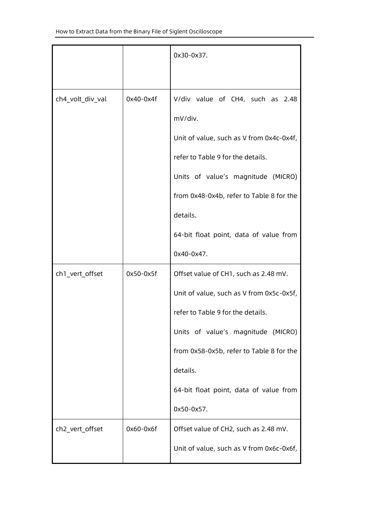|                  |             | 0x30-0x37.                               |
|------------------|-------------|------------------------------------------|
|                  |             |                                          |
| ch4_volt_div_val | $0x40-0x4f$ | V/div value of CH4, such as 2.48         |
|                  |             | mV/div.                                  |
|                  |             | Unit of value, such as V from 0x4c-0x4f, |
|                  |             | refer to Table 9 for the details.        |
|                  |             | Units of value's magnitude (MICRO)       |
|                  |             | from 0x48-0x4b, refer to Table 8 for the |
|                  |             | details.                                 |
|                  |             | 64-bit float point, data of value from   |
|                  |             | 0x40-0x47.                               |
| ch1_vert_offset  | $0x50-0x5f$ | Offset value of CH1, such as 2.48 mV.    |
|                  |             | Unit of value, such as V from 0x5c-0x5f, |
|                  |             | refer to Table 9 for the details.        |
|                  |             | Units of value's magnitude (MICRO)       |
|                  |             | from 0x58-0x5b, refer to Table 8 for the |
|                  |             | details.                                 |
|                  |             | 64-bit float point, data of value from   |
|                  |             | 0x50-0x57.                               |
| ch2_vert_offset  | 0x60-0x6f   | Offset value of CH2, such as 2.48 mV.    |
|                  |             | Unit of value, such as V from 0x6c-0x6f, |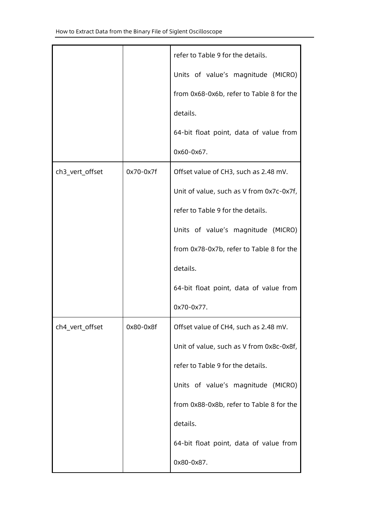|                 |             | refer to Table 9 for the details.        |
|-----------------|-------------|------------------------------------------|
|                 |             | Units of value's magnitude (MICRO)       |
|                 |             | from 0x68-0x6b, refer to Table 8 for the |
|                 |             | details.                                 |
|                 |             | 64-bit float point, data of value from   |
|                 |             | 0x60-0x67.                               |
| ch3_vert_offset | $0x70-0x7f$ | Offset value of CH3, such as 2.48 mV.    |
|                 |             | Unit of value, such as V from 0x7c-0x7f, |
|                 |             | refer to Table 9 for the details.        |
|                 |             | Units of value's magnitude (MICRO)       |
|                 |             | from 0x78-0x7b, refer to Table 8 for the |
|                 |             | details.                                 |
|                 |             |                                          |
|                 |             | 64-bit float point, data of value from   |
|                 |             | 0x70-0x77.                               |
| ch4_vert_offset | 0x80-0x8f   | Offset value of CH4, such as 2.48 mV.    |
|                 |             | Unit of value, such as V from 0x8c-0x8f, |
|                 |             | refer to Table 9 for the details.        |
|                 |             | Units of value's magnitude (MICRO)       |
|                 |             | from 0x88-0x8b, refer to Table 8 for the |
|                 |             | details.                                 |
|                 |             | 64-bit float point, data of value from   |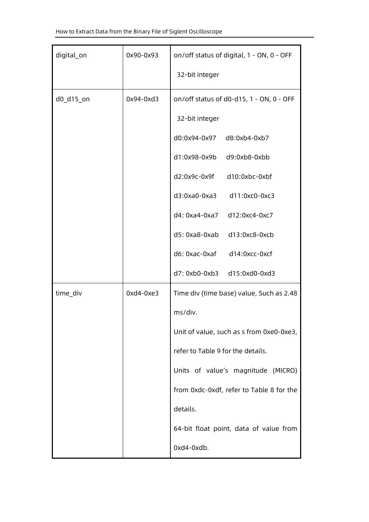| digital_on | 0x90-0x93   | on/off status of digital, 1 - ON, 0 - OFF |  |
|------------|-------------|-------------------------------------------|--|
|            |             | 32-bit integer                            |  |
| d0_d15_on  | 0x94-0xd3   | on/off status of d0-d15, 1 - ON, 0 - OFF  |  |
|            |             | 32-bit integer                            |  |
|            |             | d0:0x94-0x97 d8:0xb4-0xb7                 |  |
|            |             | d1:0x98-0x9b<br>d9:0xb8-0xbb              |  |
|            |             | d2:0x9c-0x9f<br>d10:0xbc-0xbf             |  |
|            |             | d3:0xa0-0xa3<br>d11:0xc0-0xc3             |  |
|            |             | d4: 0xa4-0xa7<br>d12:0xc4-0xc7            |  |
|            |             | d5: 0xa8-0xab<br>d13:0xc8-0xcb            |  |
|            |             | d6: 0xac-0xaf d14:0xcc-0xcf               |  |
|            |             | d7: 0xb0-0xb3<br>d15:0xd0-0xd3            |  |
| time_div   | $0xd4-0xe3$ | Time div (time base) value, Such as 2.48  |  |
|            |             | ms/div.                                   |  |
|            |             | Unit of value, such as s from 0xe0-0xe3,  |  |
|            |             | refer to Table 9 for the details.         |  |
|            |             | Units of value's magnitude (MICRO)        |  |
|            |             | from 0xdc-0xdf, refer to Table 8 for the  |  |
|            |             | details.                                  |  |
|            |             | 64-bit float point, data of value from    |  |
|            |             | 0xd4-0xdb.                                |  |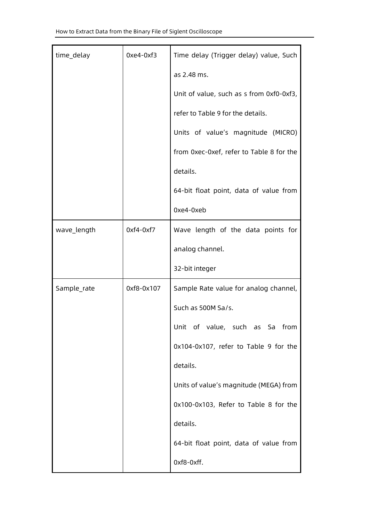| time_delay  | $0xe4-0xf3$ | Time delay (Trigger delay) value, Such   |
|-------------|-------------|------------------------------------------|
|             |             | as 2.48 ms.                              |
|             |             | Unit of value, such as s from 0xf0-0xf3, |
|             |             | refer to Table 9 for the details.        |
|             |             | Units of value's magnitude (MICRO)       |
|             |             | from 0xec-0xef, refer to Table 8 for the |
|             |             | details.                                 |
|             |             | 64-bit float point, data of value from   |
|             |             | 0xe4-0xeb                                |
| wave_length | $0xf4-0xf7$ | Wave length of the data points for       |
|             |             | analog channel.                          |
|             |             | 32-bit integer                           |
| Sample_rate | 0xf8-0x107  | Sample Rate value for analog channel,    |
|             |             | Such as 500M Sa/s.                       |
|             |             | Unit of value, such as Sa from           |
|             |             | 0x104-0x107, refer to Table 9 for the    |
|             |             | details.                                 |
|             |             | Units of value's magnitude (MEGA) from   |
|             |             | 0x100-0x103, Refer to Table 8 for the    |
|             |             | details.                                 |
|             |             | 64-bit float point, data of value from   |
|             |             | 0xf8-0xff.                               |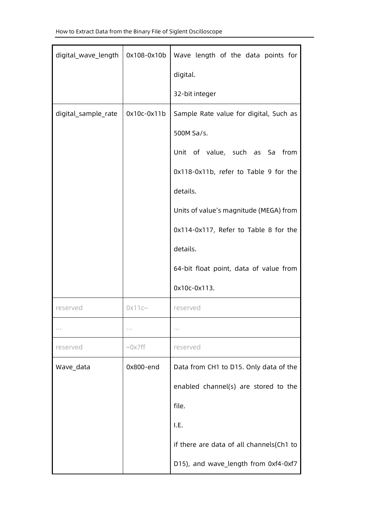| digital_wave_length | 0x108-0x10b     | Wave length of the data points for       |
|---------------------|-----------------|------------------------------------------|
|                     |                 | digital.                                 |
|                     |                 | 32-bit integer                           |
| digital_sample_rate | 0x10c-0x11b     | Sample Rate value for digital, Such as   |
|                     |                 | 500M Sa/s.                               |
|                     |                 | Unit of value, such as Sa from           |
|                     |                 | 0x118-0x11b, refer to Table 9 for the    |
|                     |                 | details.                                 |
|                     |                 | Units of value's magnitude (MEGA) from   |
|                     |                 | 0x114-0x117, Refer to Table 8 for the    |
|                     |                 | details.                                 |
|                     |                 | 64-bit float point, data of value from   |
|                     |                 | 0x10c-0x113.                             |
| reserved            | $0x11c$ ~       | reserved                                 |
| $\cdots$            |                 |                                          |
| reserved            | $\sim$ 0 x 7 ff | reserved                                 |
| Wave_data           | 0x800-end       | Data from CH1 to D15. Only data of the   |
|                     |                 | enabled channel(s) are stored to the     |
|                     |                 | file.                                    |
|                     |                 | I.E.                                     |
|                     |                 | if there are data of all channels(Ch1 to |
|                     |                 | D15), and wave_length from 0xf4-0xf7     |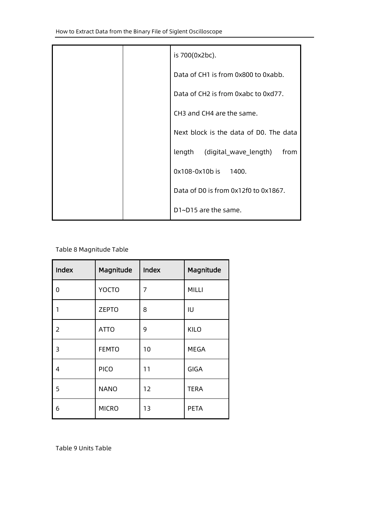|  | is 700(0x2bc).                         |
|--|----------------------------------------|
|  | Data of CH1 is from 0x800 to 0xabb.    |
|  | Data of CH2 is from 0xabc to 0xd77.    |
|  | CH3 and CH4 are the same.              |
|  | Next block is the data of D0. The data |
|  | length (digital_wave_length)<br>from   |
|  | 0x108-0x10b is 1400.                   |
|  | Data of D0 is from 0x12f0 to 0x1867.   |
|  | D1~D15 are the same.                   |

<span id="page-27-0"></span>Table 8 Magnitude Table

| Index | Magnitude    | Index | Magnitude   |
|-------|--------------|-------|-------------|
| 0     | <b>YOCTO</b> | 7     | MILLI       |
| 1     | <b>ZEPTO</b> | 8     | IU          |
| 2     | <b>ATTO</b>  | 9     | <b>KILO</b> |
| 3     | <b>FEMTO</b> | 10    | <b>MEGA</b> |
| 4     | <b>PICO</b>  | 11    | GIGA        |
| 5     | <b>NANO</b>  | 12    | <b>TERA</b> |
| 6     | <b>MICRO</b> | 13    | <b>PETA</b> |

<span id="page-27-1"></span>Table 9 Units Table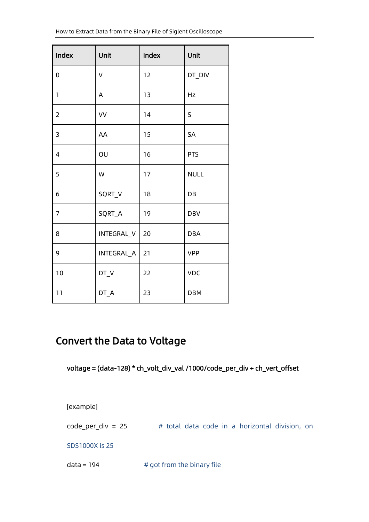| Index          | Unit       | Index | Unit        |
|----------------|------------|-------|-------------|
| $\mathbf 0$    | $\vee$     | 12    | DT_DIV      |
| $\mathbf{1}$   | A          | 13    | Hz          |
|                | VV         | 14    | S           |
| $\overline{3}$ | AA         | 15    | SA          |
| $\overline{4}$ | OU         | 16    | <b>PTS</b>  |
| 5              | W          | 17    | <b>NULL</b> |
| 6              | SQRT_V     | 18    | DB          |
| $\overline{7}$ | SQRT_A     | 19    | <b>DBV</b>  |
| 8              | INTEGRAL_V | 20    | <b>DBA</b>  |
| 9              | INTEGRAL_A | 21    | <b>VPP</b>  |
| 10             | $DT_V$     | 22    | VDC         |
| 11             | DT_A       | 23    | <b>DBM</b>  |

## <span id="page-28-0"></span>Convert the Data to Voltage

voltage = (data-128) \* ch\_volt\_div\_val /1000/code\_per\_div + ch\_vert\_offset

[example]

 $code\_per\_div = 25$  # total data code in a horizontal division, on

SDS1000X is 25

 $data = 194$   $\#$  got from the binary file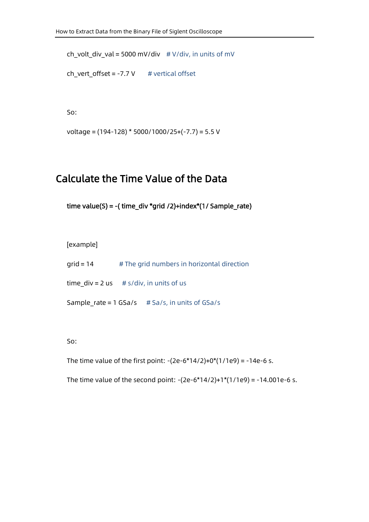ch\_volt\_div\_val = 5000 mV/div  $\# V$ /div, in units of mV

```
ch_vert_offset = -7.7 V \# vertical offset
```
So:

```
voltage = (194-128) * 5000/1000/25+(-7.7) = 5.5 V
```
## <span id="page-29-0"></span>Calculate the Time Value of the Data

time value(S) = -( time\_div \*grid /2)+index\*(1/ Sample\_rate)

[example]

| $grid = 14$                               | # The grid numbers in horizontal direction           |
|-------------------------------------------|------------------------------------------------------|
| time $div = 2 us$ # s/div, in units of us |                                                      |
|                                           | Sample rate = $1$ GSa/s $\#$ Sa/s, in units of GSa/s |

So:

The time value of the first point:  $-(2e-6*14/2)+0*(1/1e9) = -14e-6$  s.

The time value of the second point:  $-(2e-6*14/2)+1*(1/1e9) = -14.001e-6$  s.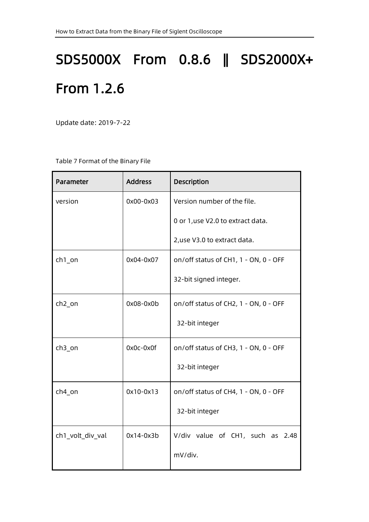## <span id="page-30-0"></span>SDS5000X From 0.8.6 || SDS2000X+ From 1.2.6

Update date: 2019-7-22

Table 7 Format of the Binary File

| Parameter          | <b>Address</b> | Description                           |
|--------------------|----------------|---------------------------------------|
| version            | 0x00-0x03      | Version number of the file.           |
|                    |                | 0 or 1, use V2.0 to extract data.     |
|                    |                | 2, use V3.0 to extract data.          |
| $ch1$ _on          | 0x04-0x07      | on/off status of CH1, 1 - ON, 0 - OFF |
|                    |                | 32-bit signed integer.                |
| ch <sub>2_on</sub> | $0x08-0x0b$    | on/off status of CH2, 1 - ON, 0 - OFF |
|                    |                | 32-bit integer                        |
| $ch3_$ on          | 0x0c-0x0f      | on/off status of CH3, 1 - ON, 0 - OFF |
|                    |                | 32-bit integer                        |
| ch4_on             | $0x10-0x13$    | on/off status of CH4, 1 - ON, 0 - OFF |
|                    |                | 32-bit integer                        |
| ch1_volt_div_val   | $0x14-0x3b$    | V/div value of CH1, such as 2.48      |
|                    |                | mV/div.                               |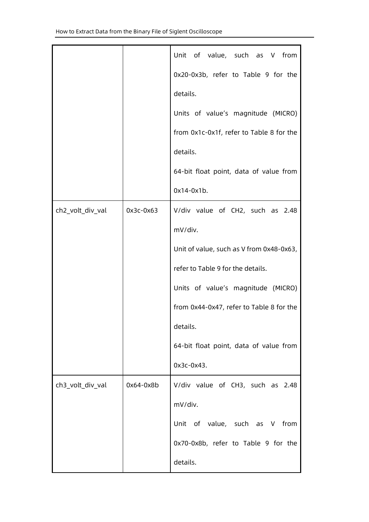|                  |             | Unit of value, such as V from            |
|------------------|-------------|------------------------------------------|
|                  |             | 0x20-0x3b, refer to Table 9 for the      |
|                  |             | details.                                 |
|                  |             | Units of value's magnitude (MICRO)       |
|                  |             | from 0x1c-0x1f, refer to Table 8 for the |
|                  |             | details.                                 |
|                  |             | 64-bit float point, data of value from   |
|                  |             | 0x14-0x1b.                               |
| ch2_volt_div_val | $0x3c-0x63$ | V/div value of CH2, such as 2.48         |
|                  |             | mV/div.                                  |
|                  |             | Unit of value, such as V from 0x48-0x63, |
|                  |             | refer to Table 9 for the details.        |
|                  |             | Units of value's magnitude (MICRO)       |
|                  |             | from 0x44-0x47, refer to Table 8 for the |
|                  |             | details.                                 |
|                  |             | 64-bit float point, data of value from   |
|                  |             | 0x3c-0x43.                               |
| ch3_volt_div_val | 0x64-0x8b   | V/div value of CH3, such as 2.48         |
|                  |             | mV/div.                                  |
|                  |             | Unit of value, such as V from            |
|                  |             | 0x70-0x8b, refer to Table 9 for the      |
|                  |             | details.                                 |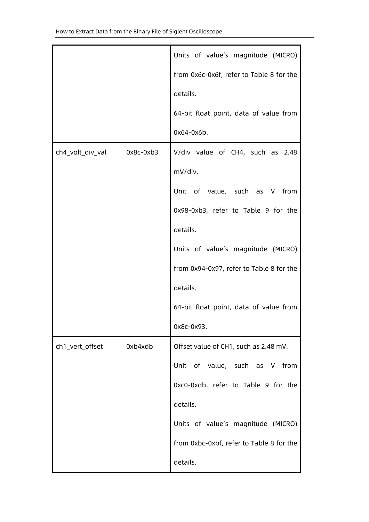|                  |             | Units of value's magnitude (MICRO)       |
|------------------|-------------|------------------------------------------|
|                  |             | from 0x6c-0x6f, refer to Table 8 for the |
|                  |             | details.                                 |
|                  |             | 64-bit float point, data of value from   |
|                  |             | 0x64-0x6b.                               |
| ch4_volt_div_val | $0x8c-0xb3$ | V/div value of CH4, such as 2.48         |
|                  |             | mV/div.                                  |
|                  |             | Unit of value, such as V from            |
|                  |             | 0x98-0xb3, refer to Table 9 for the      |
|                  |             | details.                                 |
|                  |             | Units of value's magnitude (MICRO)       |
|                  |             | from 0x94-0x97, refer to Table 8 for the |
|                  |             | details.                                 |
|                  |             | 64-bit float point, data of value from   |
|                  |             | 0x8c-0x93.                               |
| ch1_vert_offset  | 0xb4xdb     | Offset value of CH1, such as 2.48 mV.    |
|                  |             | Unit of value, such as V from            |
|                  |             | 0xc0-0xdb, refer to Table 9 for the      |
|                  |             | details.                                 |
|                  |             | Units of value's magnitude (MICRO)       |
|                  |             | from 0xbc-0xbf, refer to Table 8 for the |
|                  |             | details.                                 |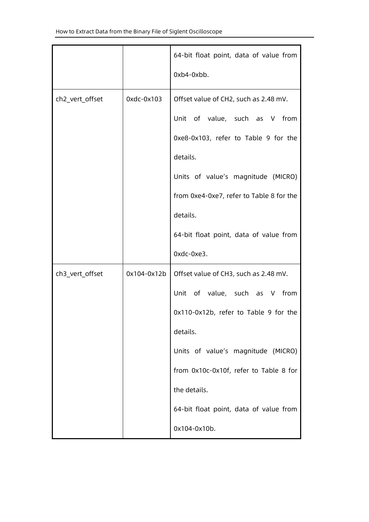|                 |             | 64-bit float point, data of value from   |
|-----------------|-------------|------------------------------------------|
|                 |             | 0xb4-0xbb.                               |
| ch2_vert_offset | 0xdc-0x103  | Offset value of CH2, such as 2.48 mV.    |
|                 |             | Unit of value, such as V from            |
|                 |             | 0xe8-0x103, refer to Table 9 for the     |
|                 |             | details.                                 |
|                 |             | Units of value's magnitude (MICRO)       |
|                 |             | from 0xe4-0xe7, refer to Table 8 for the |
|                 |             | details.                                 |
|                 |             | 64-bit float point, data of value from   |
|                 |             | 0xdc-0xe3.                               |
| ch3_vert_offset | 0x104-0x12b | Offset value of CH3, such as 2.48 mV.    |
|                 |             | Unit of value, such as V from            |
|                 |             | 0x110-0x12b, refer to Table 9 for the    |
|                 |             | details.                                 |
|                 |             | Units of value's magnitude (MICRO)       |
|                 |             | from 0x10c-0x10f, refer to Table 8 for   |
|                 |             | the details.                             |
|                 |             | 64-bit float point, data of value from   |
|                 |             | 0x104-0x10b.                             |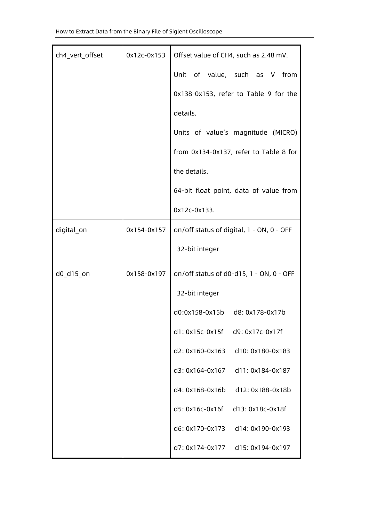| ch4_vert_offset | 0x12c-0x153 | Offset value of CH4, such as 2.48 mV.     |
|-----------------|-------------|-------------------------------------------|
|                 |             | Unit of value, such as V from             |
|                 |             | 0x138-0x153, refer to Table 9 for the     |
|                 |             | details.                                  |
|                 |             | Units of value's magnitude (MICRO)        |
|                 |             | from 0x134-0x137, refer to Table 8 for    |
|                 |             | the details.                              |
|                 |             | 64-bit float point, data of value from    |
|                 |             | 0x12c-0x133.                              |
| digital_on      | 0x154-0x157 | on/off status of digital, 1 - ON, 0 - OFF |
|                 |             | 32-bit integer                            |
| d0_d15_on       | 0x158-0x197 | on/off status of d0-d15, 1 - ON, 0 - OFF  |
|                 |             | 32-bit integer                            |
|                 |             | d0:0x158-0x15b d8:0x178-0x17b             |
|                 |             | d1:0x15c-0x15f d9:0x17c-0x17f             |
|                 |             | d2:0x160-0x163 d10:0x180-0x183            |
|                 |             | d3:0x164-0x167 d11:0x184-0x187            |
|                 |             | d4: 0x168-0x16b d12: 0x188-0x18b          |
|                 |             | d5: 0x16c-0x16f d13: 0x18c-0x18f          |
|                 |             | d6: 0x170-0x173 d14: 0x190-0x193          |
|                 |             |                                           |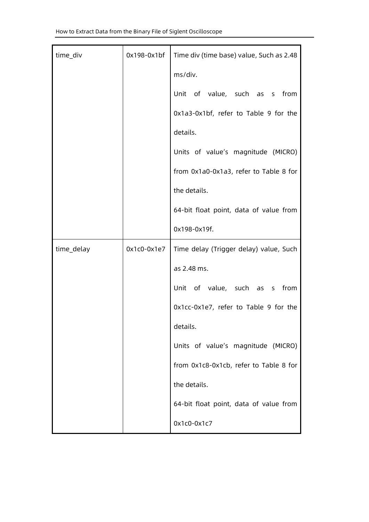| time_div   | 0x198-0x1bf   | Time div (time base) value, Such as 2.48 |
|------------|---------------|------------------------------------------|
|            |               | ms/div.                                  |
|            |               | Unit of value, such as s from            |
|            |               | 0x1a3-0x1bf, refer to Table 9 for the    |
|            |               | details.                                 |
|            |               | Units of value's magnitude (MICRO)       |
|            |               | from 0x1a0-0x1a3, refer to Table 8 for   |
|            |               | the details.                             |
|            |               | 64-bit float point, data of value from   |
|            |               | 0x198-0x19f.                             |
| time_delay | $0x1c0-0x1e7$ | Time delay (Trigger delay) value, Such   |
|            |               | as 2.48 ms.                              |
|            |               | Unit of value, such as s from            |
|            |               | 0x1cc-0x1e7, refer to Table 9 for the    |
|            |               | details.                                 |
|            |               | Units of value's magnitude (MICRO)       |
|            |               | from 0x1c8-0x1cb, refer to Table 8 for   |
|            |               | the details.                             |
|            |               | 64-bit float point, data of value from   |
|            |               | 0x1c0-0x1c7                              |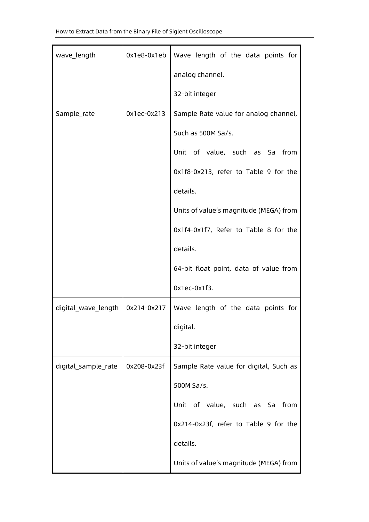| wave_length         | 0x1e8-0x1eb   | Wave length of the data points for     |
|---------------------|---------------|----------------------------------------|
|                     |               | analog channel.                        |
|                     |               | 32-bit integer                         |
| Sample_rate         | $0x1ec-0x213$ | Sample Rate value for analog channel,  |
|                     |               | Such as 500M Sa/s.                     |
|                     |               | Unit of value, such as Sa from         |
|                     |               | 0x1f8-0x213, refer to Table 9 for the  |
|                     |               | details.                               |
|                     |               | Units of value's magnitude (MEGA) from |
|                     |               | 0x1f4-0x1f7, Refer to Table 8 for the  |
|                     |               | details.                               |
|                     |               | 64-bit float point, data of value from |
|                     |               | $0x1ec-0x1f3.$                         |
| digital_wave_length | 0x214-0x217   | Wave length of the data points for     |
|                     |               | digital.                               |
|                     |               | 32-bit integer                         |
| digital_sample_rate | 0x208-0x23f   | Sample Rate value for digital, Such as |
|                     |               | 500M Sa/s.                             |
|                     |               | Unit of value, such as Sa from         |
|                     |               | 0x214-0x23f, refer to Table 9 for the  |
|                     |               | details.                               |
|                     |               | Units of value's magnitude (MEGA) from |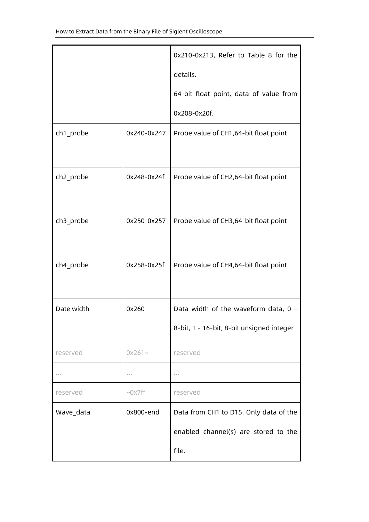|            |                 | 0x210-0x213, Refer to Table 8 for the     |  |
|------------|-----------------|-------------------------------------------|--|
|            |                 | details.                                  |  |
|            |                 | 64-bit float point, data of value from    |  |
|            |                 | 0x208-0x20f.                              |  |
| ch1_probe  | 0x240-0x247     | Probe value of CH1,64-bit float point     |  |
|            |                 |                                           |  |
| ch2_probe  | 0x248-0x24f     | Probe value of CH2,64-bit float point     |  |
|            |                 |                                           |  |
| ch3_probe  | 0x250-0x257     | Probe value of CH3,64-bit float point     |  |
|            |                 |                                           |  |
| ch4_probe  | 0x258-0x25f     | Probe value of CH4,64-bit float point     |  |
|            |                 |                                           |  |
| Date width | 0x260           | Data width of the waveform data, 0 -      |  |
|            |                 | 8-bit, 1 - 16-bit, 8-bit unsigned integer |  |
| reserved   | $0x261 -$       | reserved                                  |  |
| $\cdots$   | $\cdots$        | $\cdots$                                  |  |
| reserved   | $\sim$ 0 x 7 ff | reserved                                  |  |
| Wave_data  | 0x800-end       | Data from CH1 to D15. Only data of the    |  |
|            |                 | enabled channel(s) are stored to the      |  |
|            |                 | file.                                     |  |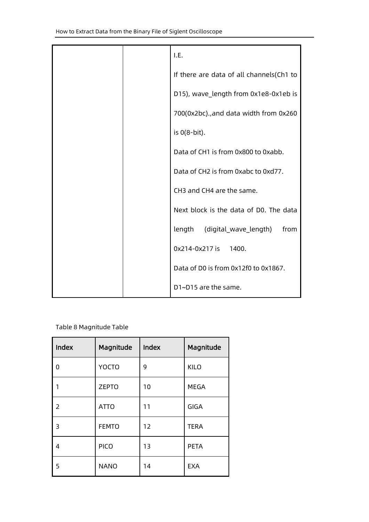| I.E.                                     |
|------------------------------------------|
| If there are data of all channels(Ch1 to |
| D15), wave_length from 0x1e8-0x1eb is    |
| 700(0x2bc)., and data width from 0x260   |
| is 0(8-bit).                             |
| Data of CH1 is from 0x800 to 0xabb.      |
| Data of CH2 is from 0xabc to 0xd77.      |
| CH3 and CH4 are the same.                |
| Next block is the data of D0. The data   |
| length (digital_wave_length)<br>from     |
| 0x214-0x217 is 1400.                     |
| Data of D0 is from 0x12f0 to 0x1867.     |
| D1~D15 are the same.                     |

#### <span id="page-38-0"></span>Table 8 Magnitude Table

| Index | Magnitude    | Index | Magnitude   |
|-------|--------------|-------|-------------|
| 0     | <b>YOCTO</b> | 9     | <b>KILO</b> |
| 1     | <b>ZEPTO</b> | 10    | <b>MEGA</b> |
| 2     | <b>ATTO</b>  | 11    | GIGA        |
| 3     | <b>FEMTO</b> | 12    | <b>TERA</b> |
| 4     | <b>PICO</b>  | 13    | <b>PETA</b> |
| 5     | <b>NANO</b>  | 14    | <b>EXA</b>  |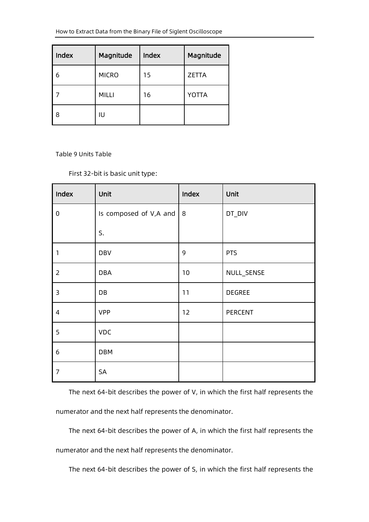| <b>Index</b> | Magnitude    | <b>Index</b> | Magnitude    |
|--------------|--------------|--------------|--------------|
| 6            | <b>MICRO</b> | 15           | <b>ZETTA</b> |
|              | <b>MILLI</b> | 16           | <b>YOTTA</b> |
| 8            | IU           |              |              |

<span id="page-39-0"></span>Table 9 Units Table

First 32-bit is basic unit type:

| Index          | Unit                        | Index | Unit       |
|----------------|-----------------------------|-------|------------|
| $\pmb{0}$      | Is composed of V,A and $ 8$ |       | DT_DIV     |
|                | S.                          |       |            |
| $\mathbf{1}$   | <b>DBV</b>                  | 9     | <b>PTS</b> |
| $\overline{2}$ | <b>DBA</b>                  | 10    | NULL_SENSE |
| $\overline{3}$ | DB                          | 11    | DEGREE     |
| $\overline{4}$ | <b>VPP</b>                  | 12    | PERCENT    |
| 5              | <b>VDC</b>                  |       |            |
| 6              | <b>DBM</b>                  |       |            |
| 7              | SA                          |       |            |

The next 64-bit describes the power of V, in which the first half represents the numerator and the next half represents the denominator.

The next 64-bit describes the power of A, in which the first half represents the numerator and the next half represents the denominator.

The next 64-bit describes the power of S, in which the first half represents the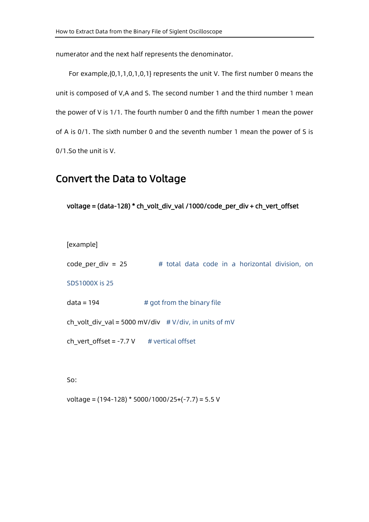numerator and the next half represents the denominator.

For example,{0,1,1,0,1,0,1} represents the unit V. The first number 0 means the unit is composed of V,A and S. The second number 1 and the third number 1 mean the power of V is 1/1. The fourth number 0 and the fifth number 1 mean the power of A is 0/1. The sixth number 0 and the seventh number 1 mean the power of S is 0/1.So the unit is V.

### <span id="page-40-0"></span>Convert the Data to Voltage

voltage = (data-128) \* ch\_volt\_div\_val /1000/code\_per\_div + ch\_vert\_offset

[example]

code per div = 25  $#$  total data code in a horizontal division, on

SDS1000X is 25

 $data = 194$   $\#$  got from the binary file

ch volt div val = 5000 mV/div  $#$  V/div, in units of mV

ch vert offset = -7.7 V  $#$  vertical offset

So:

voltage = (194-128) \* 5000/1000/25+(-7.7) = 5.5 V